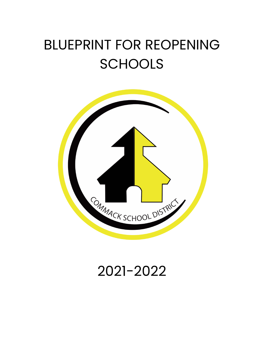# BLUEPRINT FOR REOPENING **SCHOOLS**



# 2021-2022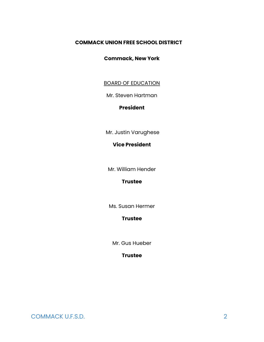#### **COMMACK UNION FREE SCHOOL DISTRICT**

#### **Commack, New York**

#### BOARD OF EDUCATION

Mr. Steven Hartman

#### **President**

Mr. Justin Varughese

#### **Vice President**

Mr. William Hender

#### **Trustee**

Ms. Susan Hermer

#### **Trustee**

Mr. Gus Hueber

#### **Trustee**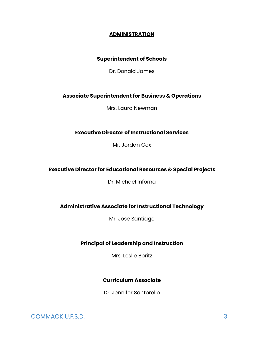#### **ADMINISTRATION**

#### **Superintendent of Schools**

Dr. Donald James

#### **Associate Superintendent for Business & Operations**

Mrs. Laura Newman

#### **Executive Director of Instructional Services**

Mr. Jordan Cox

#### **Executive Director for Educational Resources & Special Projects**

Dr. Michael Inforna

#### **Administrative Associate for Instructional Technology**

Mr. Jose Santiago

#### **Principal of Leadership and Instruction**

Mrs. Leslie Boritz

#### **Curriculum Associate**

Dr. Jennifer Santorello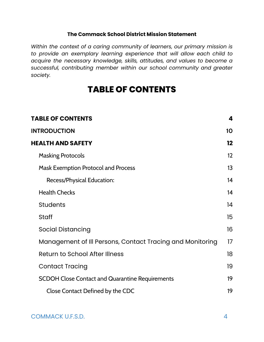#### **The Commack School District Mission Statement**

*Within the context of a caring community of learners, our primary mission is to provide an exemplary learning experience that will allow each child to acquire the necessary knowledge, skills, attitudes, and values to become a successful, contributing member within our school community and greater society.*

# **TABLE OF CONTENTS**

<span id="page-3-0"></span>

| <b>TABLE OF CONTENTS</b>                                  | 4                 |
|-----------------------------------------------------------|-------------------|
| <b>INTRODUCTION</b>                                       | 10                |
| <b>HEALTH AND SAFETY</b>                                  | $12 \,$           |
| <b>Masking Protocols</b>                                  | $12 \overline{ }$ |
| <b>Mask Exemption Protocol and Process</b>                | 13                |
| Recess/Physical Education:                                | 14                |
| <b>Health Checks</b>                                      | 14                |
| <b>Students</b>                                           | 14                |
| Staff                                                     | 15                |
| <b>Social Distancing</b>                                  | 16                |
| Management of Ill Persons, Contact Tracing and Monitoring | 17                |
| <b>Return to School After Illness</b>                     | 18                |
| <b>Contact Tracing</b>                                    | 19                |
| <b>SCDOH Close Contact and Quarantine Requirements</b>    | 19                |
| Close Contact Defined by the CDC                          | 19                |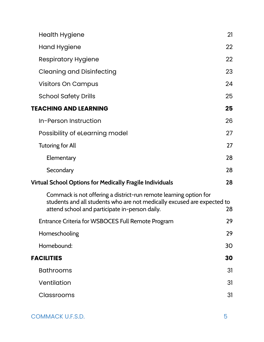| <b>Health Hygiene</b>                                                                                                                                                                          | 21 |
|------------------------------------------------------------------------------------------------------------------------------------------------------------------------------------------------|----|
| Hand Hygiene                                                                                                                                                                                   | 22 |
| <b>Respiratory Hygiene</b>                                                                                                                                                                     | 22 |
| <b>Cleaning and Disinfecting</b>                                                                                                                                                               | 23 |
| <b>Visitors On Campus</b>                                                                                                                                                                      | 24 |
| <b>School Safety Drills</b>                                                                                                                                                                    | 25 |
| <b>TEACHING AND LEARNING</b>                                                                                                                                                                   | 25 |
| In-Person Instruction                                                                                                                                                                          | 26 |
| Possibility of eLearning model                                                                                                                                                                 | 27 |
| <b>Tutoring for All</b>                                                                                                                                                                        | 27 |
| Elementary                                                                                                                                                                                     | 28 |
| Secondary                                                                                                                                                                                      | 28 |
| <b>Virtual School Options for Medically Fragile Individuals</b>                                                                                                                                | 28 |
| Commack is not offering a district-run remote learning option for<br>students and all students who are not medically excused are expected to<br>attend school and participate in-person daily. | 28 |
| Entrance Criteria for WSBOCES Full Remote Program                                                                                                                                              | 29 |
| Homeschooling                                                                                                                                                                                  | 29 |
| Homebound:                                                                                                                                                                                     | 30 |
| <b>FACILITIES</b>                                                                                                                                                                              | 30 |
| <b>Bathrooms</b>                                                                                                                                                                               | 31 |
| Ventilation                                                                                                                                                                                    | 31 |
| Classrooms                                                                                                                                                                                     | 31 |
|                                                                                                                                                                                                |    |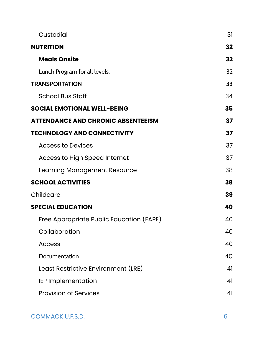| Custodial                                 | 31 |
|-------------------------------------------|----|
| <b>NUTRITION</b>                          | 32 |
| <b>Meals Onsite</b>                       | 32 |
| Lunch Program for all levels:             | 32 |
| <b>TRANSPORTATION</b>                     | 33 |
| <b>School Bus Staff</b>                   | 34 |
| <b>SOCIAL EMOTIONAL WELL-BEING</b>        | 35 |
| <b>ATTENDANCE AND CHRONIC ABSENTEEISM</b> | 37 |
| <b>TECHNOLOGY AND CONNECTIVITY</b>        | 37 |
| <b>Access to Devices</b>                  | 37 |
| <b>Access to High Speed Internet</b>      | 37 |
| Learning Management Resource              | 38 |
| <b>SCHOOL ACTIVITIES</b>                  | 38 |
| Childcare                                 | 39 |
| <b>SPECIAL EDUCATION</b>                  | 40 |
| Free Appropriate Public Education (FAPE)  | 40 |
| Collaboration                             | 40 |
| <b>Access</b>                             | 40 |
| Documentation                             | 40 |
| Least Restrictive Environment (LRE)       | 41 |
| <b>IEP Implementation</b>                 | 41 |
| <b>Provision of Services</b>              | 41 |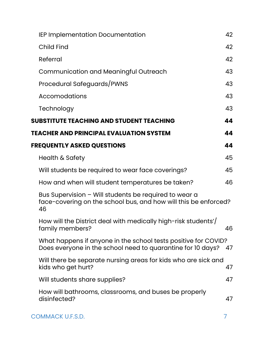| IEP Implementation Documentation                                                                                               | 42 |
|--------------------------------------------------------------------------------------------------------------------------------|----|
| <b>Child Find</b>                                                                                                              | 42 |
| Referral                                                                                                                       | 42 |
| <b>Communication and Meaningful Outreach</b>                                                                                   | 43 |
| Procedural Safeguards/PWNS                                                                                                     | 43 |
| Accomodations                                                                                                                  | 43 |
| Technology                                                                                                                     | 43 |
| SUBSTITUTE TEACHING AND STUDENT TEACHING                                                                                       | 44 |
| TEACHER AND PRINCIPAL EVALUATION SYSTEM                                                                                        | 44 |
| <b>FREQUENTLY ASKED QUESTIONS</b>                                                                                              | 44 |
| Health & Safety                                                                                                                | 45 |
| Will students be required to wear face coverings?                                                                              | 45 |
| How and when will student temperatures be taken?                                                                               | 46 |
| Bus Supervision - Will students be required to wear a<br>face-covering on the school bus, and how will this be enforced?<br>46 |    |
| How will the District deal with medically high-risk students'/<br>family members?                                              | 46 |
| What happens if anyone in the school tests positive for COVID?<br>Does everyone in the school need to quarantine for 10 days?  | 47 |
| Will there be separate nursing areas for kids who are sick and<br>kids who get hurt?                                           | 47 |
| Will students share supplies?                                                                                                  | 47 |
| How will bathrooms, classrooms, and buses be properly<br>disinfected?                                                          | 47 |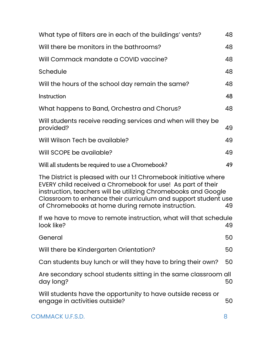| What type of filters are in each of the buildings' vents?                                                                                                                                                                                                                                                               |    |  |
|-------------------------------------------------------------------------------------------------------------------------------------------------------------------------------------------------------------------------------------------------------------------------------------------------------------------------|----|--|
| Will there be monitors in the bathrooms?                                                                                                                                                                                                                                                                                | 48 |  |
| Will Commack mandate a COVID vaccine?                                                                                                                                                                                                                                                                                   | 48 |  |
| Schedule                                                                                                                                                                                                                                                                                                                | 48 |  |
| Will the hours of the school day remain the same?                                                                                                                                                                                                                                                                       | 48 |  |
| Instruction                                                                                                                                                                                                                                                                                                             | 48 |  |
| What happens to Band, Orchestra and Chorus?                                                                                                                                                                                                                                                                             | 48 |  |
| Will students receive reading services and when will they be<br>provided?                                                                                                                                                                                                                                               | 49 |  |
| Will Wilson Tech be available?                                                                                                                                                                                                                                                                                          | 49 |  |
| Will SCOPE be available?                                                                                                                                                                                                                                                                                                | 49 |  |
| Will all students be required to use a Chromebook?                                                                                                                                                                                                                                                                      | 49 |  |
| The District is pleased with our 1:1 Chromebook initiative where<br>EVERY child received a Chromebook for use! As part of their<br>instruction, teachers will be utilizing Chromebooks and Google<br>Classroom to enhance their curriculum and support student use<br>of Chromebooks at home during remote instruction. | 49 |  |
| If we have to move to remote instruction, what will that schedule<br>look like?                                                                                                                                                                                                                                         | 49 |  |
| General                                                                                                                                                                                                                                                                                                                 | 50 |  |
| Will there be Kindergarten Orientation?                                                                                                                                                                                                                                                                                 | 50 |  |
| Can students buy lunch or will they have to bring their own?                                                                                                                                                                                                                                                            | 50 |  |
| Are secondary school students sitting in the same classroom all<br>day long?                                                                                                                                                                                                                                            | 50 |  |
| Will students have the opportunity to have outside recess or<br>engage in activities outside?                                                                                                                                                                                                                           |    |  |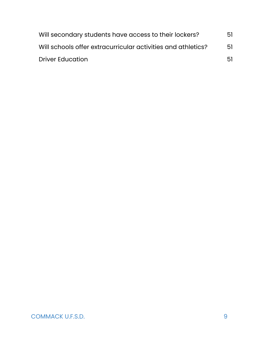| Will secondary students have access to their lockers?        | 51  |
|--------------------------------------------------------------|-----|
| Will schools offer extracurricular activities and athletics? | 51  |
| <b>Driver Education</b>                                      | .51 |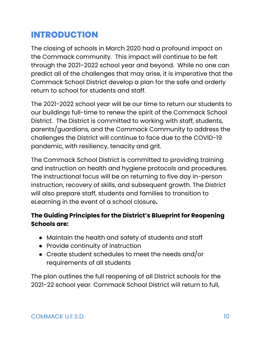# <span id="page-9-0"></span>**INTRODUCTION**

The closing of schools in March 2020 had a profound impact on the Commack community. This impact will continue to be felt through the 2021-2022 school year and beyond. While no one can predict all of the challenges that may arise, it is imperative that the Commack School District develop a plan for the safe and orderly return to school for students and staff.

The 2021-2022 school year will be our time to return our students to our buildings full-time to renew the spirit of the Commack School District. The District is committed to working with staff, students, parents/guardians, and the Commack Community to address the challenges the District will continue to face due to the COVID-19 pandemic, with resiliency, tenacity and grit.

The Commack School District is committed to providing training and instruction on health and hygiene protocols and procedures. The instructional focus will be on returning to five day in-person instruction, recovery of skills, and subsequent growth. The District will also prepare staff, students and families to transition to eLearning in the event of a school closure**.**

### **The Guiding Principles for the District's Blueprint for Reopening Schools are:**

- Maintain the health and safety of students and staff
- Provide continuity of instruction
- Create student schedules to meet the needs and/or requirements of all students

The plan outlines the full reopening of all District schools for the 2021-22 school year. Commack School District will return to full,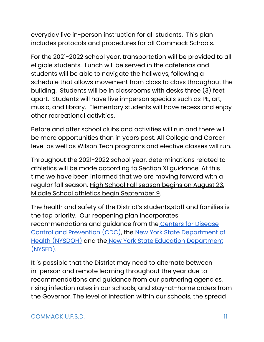everyday live in-person instruction for all students. This plan includes protocols and procedures for all Commack Schools.

For the 2021-2022 school year, transportation will be provided to all eligible students. Lunch will be served in the cafeterias and students will be able to navigate the hallways, following a schedule that allows movement from class to class throughout the building. Students will be in classrooms with desks three (3) feet apart. Students will have live in-person specials such as PE, art, music, and library. Elementary students will have recess and enjoy other recreational activities.

Before and after school clubs and activities will run and there will be more opportunities than in years past. All College and Career level as well as Wilson Tech programs and elective classes will run.

Throughout the 2021-2022 school year, determinations related to athletics will be made according to Section XI guidance. At this time we have been informed that we are moving forward with a regular fall season. High School Fall season begins on August 23, Middle School athletics begin September 9.

The health and safety of the District's students,staff and families is the top priority. Our reopening plan incorporates recommendations and guidance from the Centers for [Disease](https://www.cdc.gov/coronavirus/2019-ncov/community/schools-childcare/index.html) Control and [Prevention](https://www.cdc.gov/coronavirus/2019-ncov/community/schools-childcare/index.html) (CDC), the New York State [Department](https://www.governor.ny.gov/sites/governor.ny.gov/files/atoms/files/Pre-K_to_Grade_12_Schools_MasterGuidence.pdf) of Health [\(NYSDOH\)](https://www.governor.ny.gov/sites/governor.ny.gov/files/atoms/files/Pre-K_to_Grade_12_Schools_MasterGuidence.pdf) and the New York State Education [Department](http://www.nysed.gov/news/2020/state-education-department-issues-guidance-reopen-new-york-state-schools) [\(NYSED\).](http://www.nysed.gov/news/2020/state-education-department-issues-guidance-reopen-new-york-state-schools)

It is possible that the District may need to alternate between in-person and remote learning throughout the year due to recommendations and guidance from our partnering agencies, rising infection rates in our schools, and stay-at-home orders from the Governor. The level of infection within our schools, the spread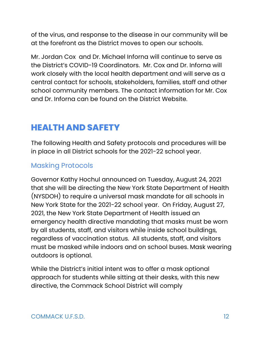of the virus, and response to the disease in our community will be at the forefront as the District moves to open our schools.

Mr. Jordan Cox and Dr. Michael Inforna will continue to serve as the District's COVID-19 Coordinators. Mr. Cox and Dr. Inforna will work closely with the local health department and will serve as a central contact for schools, stakeholders, families, staff and other school community members. The contact information for Mr. Cox and Dr. Inforna can be found on the District Website.

# <span id="page-11-0"></span>**HEALTH AND SAFETY**

The following Health and Safety protocols and procedures will be in place in all District schools for the 2021-22 school year.

### <span id="page-11-1"></span>Masking Protocols

Governor Kathy Hochul announced on Tuesday, August 24, 2021 that she will be directing the New York State Department of Health (NYSDOH) to require a universal mask mandate for all schools in New York State for the 2021-22 school year. On Friday, August 27, 2021, the New York State Department of Health issued an emergency health directive mandating that masks must be worn by all students, staff, and visitors while inside school buildings, regardless of vaccination status. All students, staff, and visitors must be masked while indoors and on school buses. Mask wearing outdoors is optional.

While the District's initial intent was to offer a mask optional approach for students while sitting at their desks, with this new directive, the Commack School District will comply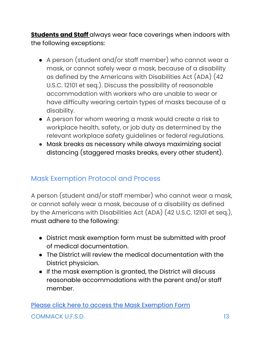**Students and Staff** always wear face coverings when indoors with the following exceptions:

- A person (student and/or staff member) who cannot wear a mask, or cannot safely wear a mask, because of a disability as defined by the Americans with Disabilities Act (ADA) (42 U.S.C. 12101 et seq.). Discuss the possibility of reasonable accommodation with workers who are unable to wear or have difficulty wearing certain types of masks because of a disability.
- A person for whom wearing a mask would create a risk to workplace health, safety, or job duty as determined by the relevant workplace safety guidelines or federal regulations.
- Mask breaks as necessary while always maximizing social distancing (staggered masks breaks, every other student).

### <span id="page-12-0"></span>Mask Exemption Protocol and Process

A person (student and/or staff member) who cannot wear a mask, or cannot safely wear a mask, because of a disability as defined by the Americans with Disabilities Act (ADA) (42 U.S.C. 12101 et seq.), must adhere to the following:

- District mask exemption form must be submitted with proof of medical documentation.
- The District will review the medical documentation with the District physician.
- If the mask exemption is granted, the District will discuss reasonable accommodations with the parent and/or staff member.

Please click here to access the Mask [Exemption](https://drive.google.com/file/d/1EapcIuz_TNqGgxga8pBSo3_OG8nnuT8b/view?usp=sharing) Form COMMACK U.F.S.D. 13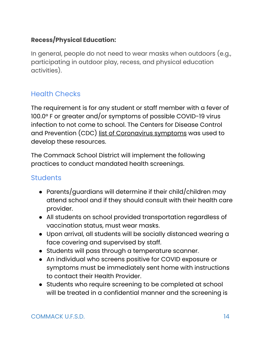### <span id="page-13-0"></span>**Recess/Physical Education:**

In general, people do not need to wear masks when outdoors (e.g., participating in outdoor play, recess, and physical education activities).

### <span id="page-13-1"></span>Health Checks

The requirement is for any student or staff member with a fever of 100.0° F or greater and/or symptoms of possible COVID-19 virus infection to not come to school. The Centers for Disease Control and Prevention (CDC) list of [Coronavirus](https://www.cdc.gov/coronavirus/2019-ncov/symptoms-testing/symptoms.html) symptoms was used to develop these resources.

The Commack School District will implement the following practices to conduct mandated health screenings.

### <span id="page-13-2"></span>**Students**

- Parents/guardians will determine if their child/children may attend school and if they should consult with their health care provider.
- All students on school provided transportation regardless of vaccination status, must wear masks.
- Upon arrival, all students will be socially distanced wearing a face covering and supervised by staff.
- Students will pass through a temperature scanner.
- An individual who screens positive for COVID exposure or symptoms must be immediately sent home with instructions to contact their Health Provider.
- Students who require screening to be completed at school will be treated in a confidential manner and the screening is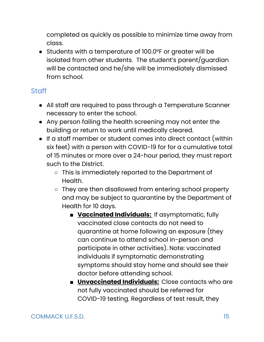completed as quickly as possible to minimize time away from class.

● Students with a temperature of 100.0°F or greater will be isolated from other students. The student's parent/guardian will be contacted and he/she will be immediately dismissed from school.

### <span id="page-14-0"></span>**Staff**

- All staff are required to pass through a Temperature Scanner necessary to enter the school.
- Any person failing the health screening may not enter the building or return to work until medically cleared.
- If a staff member or student comes into direct contact (within six feet) with a person with COVID-19 for for a cumulative total of 15 minutes or more over a 24-hour period, they must report such to the District.
	- This is immediately reported to the Department of Health.
	- They are then disallowed from entering school property and may be subject to quarantine by the Department of Health for 10 days.
		- **Vaccinated Individuals:** If asymptomatic, fully vaccinated close contacts do not need to quarantine at home following an exposure (they can continue to attend school in-person and participate in other activities). Note: vaccinated individuals if symptomatic demonstrating symptoms should stay home and should see their doctor before attending school.
		- **Unvaccinated Individuals:** Close contacts who are not fully vaccinated should be referred for COVID-19 testing. Regardless of test result, they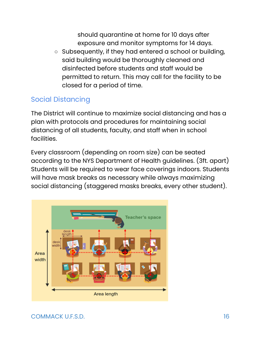should quarantine at home for 10 days after exposure and monitor symptoms for 14 days.

○ Subsequently, if they had entered a school or building, said building would be thoroughly cleaned and disinfected before students and staff would be permitted to return. This may call for the facility to be closed for a period of time.

### <span id="page-15-0"></span>Social Distancing

The District will continue to maximize social distancing and has a plan with protocols and procedures for maintaining social distancing of all students, faculty, and staff when in school facilities.

Every classroom (depending on room size) can be seated according to the NYS Department of Health guidelines. (3ft. apart) Students will be required to wear face coverings indoors. Students will have mask breaks as necessary while always maximizing social distancing (staggered masks breaks, every other student).

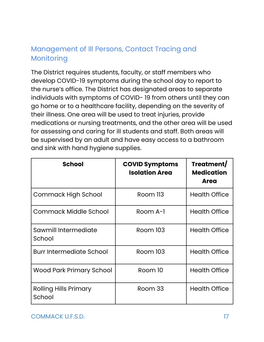### <span id="page-16-0"></span>Management of Ill Persons, Contact Tracing and Monitoring

The District requires students, faculty, or staff members who develop COVID-19 symptoms during the school day to report to the nurse's office. The District has designated areas to separate individuals with symptoms of COVID- 19 from others until they can go home or to a healthcare facility, depending on the severity of their illness. One area will be used to treat injuries, provide medications or nursing treatments, and the other area will be used for assessing and caring for ill students and staff. Both areas will be supervised by an adult and have easy access to a bathroom and sink with hand hygiene supplies.

| <b>School</b>                          | <b>COVID Symptoms</b><br><b>Isolation Area</b> | Treatment/<br><b>Medication</b><br><b>Area</b> |
|----------------------------------------|------------------------------------------------|------------------------------------------------|
| <b>Commack High School</b>             | Room 113                                       | <b>Health Office</b>                           |
| Commack Middle School                  | Room A-1                                       | <b>Health Office</b>                           |
| Sawmill Intermediate<br>School         | Room 103                                       | <b>Health Office</b>                           |
| <b>Burr Intermediate School</b>        | <b>Room 103</b>                                | <b>Health Office</b>                           |
| <b>Wood Park Primary School</b>        | Room 10                                        | <b>Health Office</b>                           |
| <b>Rolling Hills Primary</b><br>School | Room 33                                        | <b>Health Office</b>                           |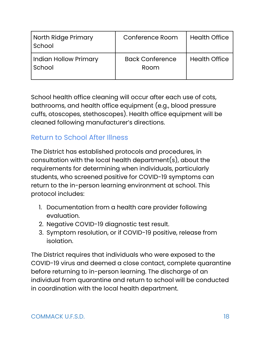| North Ridge Primary<br>School   | Conference Room                | <b>Health Office</b> |
|---------------------------------|--------------------------------|----------------------|
| Indian Hollow Primary<br>School | <b>Back Conference</b><br>Room | <b>Health Office</b> |

School health office cleaning will occur after each use of cots, bathrooms, and health office equipment (e.g., blood pressure cuffs, otoscopes, stethoscopes). Health office equipment will be cleaned following manufacturer's directions.

### <span id="page-17-0"></span>Return to School After Illness

The District has established protocols and procedures, in consultation with the local health department(s), about the requirements for determining when individuals, particularly students, who screened positive for COVID-19 symptoms can return to the in-person learning environment at school. This protocol includes:

- 1. Documentation from a health care provider following evaluation.
- 2. Negative COVID-19 diagnostic test result.
- 3. Symptom resolution, or if COVID-19 positive, release from isolation.

The District requires that individuals who were exposed to the COVID-19 virus and deemed a close contact, complete quarantine before returning to in-person learning. The discharge of an individual from quarantine and return to school will be conducted in coordination with the local health department.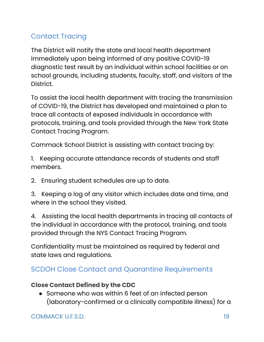## <span id="page-18-0"></span>Contact Tracing

The District will notify the state and local health department immediately upon being informed of any positive COVID-19 diagnostic test result by an individual within school facilities or on school grounds, including students, faculty, staff, and visitors of the District.

To assist the local health department with tracing the transmission of COVID-19, the District has developed and maintained a plan to trace all contacts of exposed individuals in accordance with protocols, training, and tools provided through the New York State Contact Tracing Program.

Commack School District is assisting with contact tracing by:

1. Keeping accurate attendance records of students and staff members.

2. Ensuring student schedules are up to date.

3. Keeping a log of any visitor which includes date and time, and where in the school they visited.

4. Assisting the local health departments in tracing all contacts of the individual in accordance with the protocol, training, and tools provided through the NYS Contact Tracing Program*.*

Confidentiality must be maintained as required by federal and state laws and regulations.

### <span id="page-18-1"></span>SCDOH Close Contact and Quarantine Requirements

### <span id="page-18-2"></span>**Close Contact Defined by the CDC**

• Someone who was within 6 feet of an infected person (laboratory-confirmed or a clinically compatible illness) for a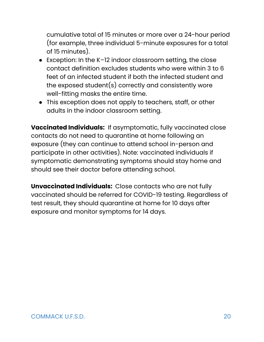cumulative total of 15 minutes or more over a 24-hour period (for example, three individual 5-minute exposures for a total of 15 minutes).

- Exception: In the K-12 indoor classroom setting, the close contact definition excludes students who were within 3 to 6 feet of an infected student if both the infected student and the exposed student(s) correctly and consistently wore well-fitting masks the entire time.
- This exception does not apply to teachers, staff, or other adults in the indoor classroom setting.

**Vaccinated Individuals:** If asymptomatic, fully vaccinated close contacts do not need to quarantine at home following an exposure (they can continue to attend school in-person and participate in other activities). Note: vaccinated individuals if symptomatic demonstrating symptoms should stay home and should see their doctor before attending school.

**Unvaccinated Individuals:** Close contacts who are not fully vaccinated should be referred for COVID-19 testing. Regardless of test result, they should quarantine at home for 10 days after exposure and monitor symptoms for 14 days.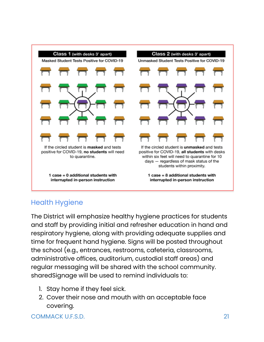

### <span id="page-20-0"></span>Health Hygiene

The District will emphasize healthy hygiene practices for students and staff by providing initial and refresher education in hand and respiratory hygiene, along with providing adequate supplies and time for frequent hand hygiene. Signs will be posted throughout the school (e.g., entrances, restrooms, cafeteria, classrooms, administrative offices, auditorium, custodial staff areas) and regular messaging will be shared with the school community. sharedSignage will be used to remind individuals to:

- 1. Stay home if they feel sick.
- 2. Cover their nose and mouth with an acceptable face covering.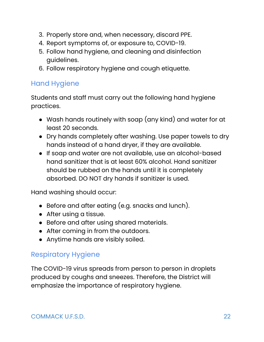- 3. Properly store and, when necessary, discard PPE.
- 4. Report symptoms of, or exposure to, COVID-19.
- 5. Follow hand hygiene, and cleaning and disinfection guidelines.
- 6. Follow respiratory hygiene and cough etiquette.

### <span id="page-21-0"></span>Hand Hygiene

Students and staff must carry out the following hand hygiene practices.

- Wash hands routinely with soap (any kind) and water for at least 20 seconds.
- Dry hands completely after washing. Use paper towels to dry hands instead of a hand dryer, if they are available.
- If soap and water are not available, use an alcohol-based hand sanitizer that is at least 60% alcohol. Hand sanitizer should be rubbed on the hands until it is completely absorbed. DO NOT dry hands if sanitizer is used.

Hand washing should occur:

- Before and after eating (e.g. snacks and lunch).
- After using a tissue.
- Before and after using shared materials.
- After coming in from the outdoors.
- Anytime hands are visibly soiled.

### <span id="page-21-1"></span>Respiratory Hygiene

The COVID-19 virus spreads from person to person in droplets produced by coughs and sneezes. Therefore, the District will emphasize the importance of respiratory hygiene.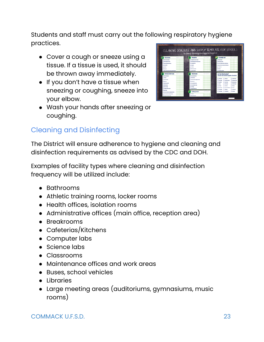Students and staff must carry out the following respiratory hygiene practices.

- Cover a cough or sneeze using a tissue. If a tissue is used, it should be thrown away immediately.
- If you don't have a tissue when sneezing or coughing, sneeze into your elbow.
- Wash your hands after sneezing or coughing.

## <span id="page-22-0"></span>Cleaning and Disinfecting

The District will ensure adherence to hygiene and cleaning and disinfection requirements as advised by the CDC and DOH.

Examples of facility types where cleaning and disinfection frequency will be utilized include:

- Bathrooms
- Athletic training rooms, locker rooms
- Health offices, isolation rooms
- Administrative offices (main office, reception area)
- Breakrooms
- Cafeterias/Kitchens
- Computer labs
- Science labs
- Classrooms
- Maintenance offices and work areas
- Buses, school vehicles
- Libraries
- Large meeting areas (auditoriums, gymnasiums, music rooms)

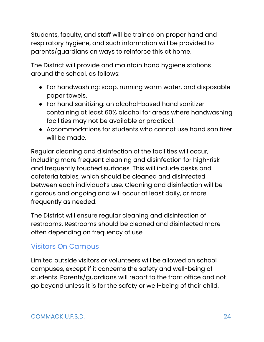Students, faculty, and staff will be trained on proper hand and respiratory hygiene, and such information will be provided to parents/guardians on ways to reinforce this at home.

The District will provide and maintain hand hygiene stations around the school, as follows:

- For handwashing: soap, running warm water, and disposable paper towels.
- For hand sanitizing: an alcohol-based hand sanitizer containing at least 60% alcohol for areas where handwashing facilities may not be available or practical.
- Accommodations for students who cannot use hand sanitizer will be made.

Regular cleaning and disinfection of the facilities will occur, including more frequent cleaning and disinfection for high-risk and frequently touched surfaces. This will include desks and cafeteria tables, which should be cleaned and disinfected between each individual's use. Cleaning and disinfection will be rigorous and ongoing and will occur at least daily, or more frequently as needed.

The District will ensure regular cleaning and disinfection of restrooms. Restrooms should be cleaned and disinfected more often depending on frequency of use.

### <span id="page-23-0"></span>Visitors On Campus

Limited outside visitors or volunteers will be allowed on school campuses, except if it concerns the safety and well-being of students. Parents/guardians will report to the front office and not go beyond unless it is for the safety or well-being of their child.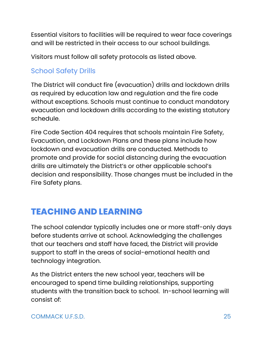Essential visitors to facilities will be required to wear face coverings and will be restricted in their access to our school buildings.

Visitors must follow all safety protocols as listed above.

### <span id="page-24-0"></span>School Safety Drills

The District will conduct fire (evacuation) drills and lockdown drills as required by education law and regulation and the fire code without exceptions. Schools must continue to conduct mandatory evacuation and lockdown drills according to the existing statutory schedule.

Fire Code Section 404 requires that schools maintain Fire Safety, Evacuation, and Lockdown Plans and these plans include how lockdown and evacuation drills are conducted. Methods to promote and provide for social distancing during the evacuation drills are ultimately the District's or other applicable school's decision and responsibility. Those changes must be included in the Fire Safety plans.

# <span id="page-24-1"></span>**TEACHING AND LEARNING**

The school calendar typically includes one or more staff-only days before students arrive at school. Acknowledging the challenges that our teachers and staff have faced, the District will provide support to staff in the areas of social-emotional health and technology integration.

As the District enters the new school year, teachers will be encouraged to spend time building relationships, supporting students with the transition back to school. In-school learning will consist of: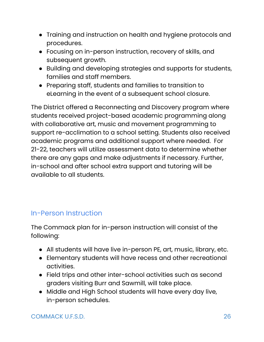- Training and instruction on health and hygiene protocols and procedures.
- Focusing on in-person instruction, recovery of skills, and subsequent growth.
- Building and developing strategies and supports for students, families and staff members.
- Preparing staff, students and families to transition to eLearning in the event of a subsequent school closure.

The District offered a Reconnecting and Discovery program where students received project-based academic programming along with collaborative art, music and movement programming to support re-acclimation to a school setting. Students also received academic programs and additional support where needed. For 21-22, teachers will utilize assessment data to determine whether there are any gaps and make adjustments if necessary. Further, in-school and after school extra support and tutoring will be available to all students.

### <span id="page-25-0"></span>In-Person Instruction

The Commack plan for in-person instruction will consist of the following:

- All students will have live in-person PE, art, music, library, etc.
- Elementary students will have recess and other recreational activities.
- Field trips and other inter-school activities such as second graders visiting Burr and Sawmill, will take place.
- Middle and High School students will have every day live, in-person schedules.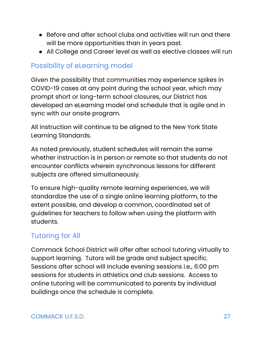- Before and after school clubs and activities will run and there will be more opportunities than in years past.
- All College and Career level as well as elective classes will run

### <span id="page-26-0"></span>Possibility of eLearning model

Given the possibility that communities may experience spikes in COVID-19 cases at any point during the school year, which may prompt short or long-term school closures, our District has developed an eLearning model and schedule that is agile and in sync with our onsite program.

All instruction will continue to be aligned to the New York State Learning Standards.

As noted previously, student schedules will remain the same whether instruction is in person or remote so that students do not encounter conflicts wherein synchronous lessons for different subjects are offered simultaneously.

To ensure high-quality remote learning experiences, we will standardize the use of a single online learning platform, to the extent possible, and develop a common, coordinated set of guidelines for teachers to follow when using the platform with students.

### <span id="page-26-1"></span>Tutoring for All

Commack School District will offer after school tutoring virtually to support learning. Tutors will be grade and subject specific. Sessions after school will include evening sessions i.e., 6:00 pm sessions for students in athletics and club sessions. Access to online tutoring will be communicated to parents by individual buildings once the schedule is complete.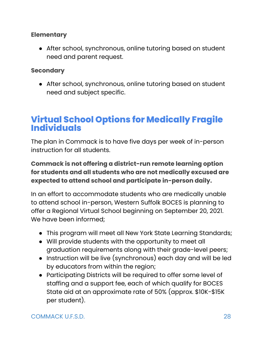### <span id="page-27-0"></span>**Elementary**

• After school, synchronous, online tutoring based on student need and parent request.

### <span id="page-27-1"></span>**Secondary**

• After school, synchronous, online tutoring based on student need and subject specific.

# <span id="page-27-2"></span>**Virtual School Options for Medically Fragile Individuals**

The plan in Commack is to have five days per week of in-person instruction for all students.

**Commack is not offering a district-run remote learning option for students and all students who are not medically excused are expected to attend school and participate in-person daily.**

<span id="page-27-3"></span>In an effort to accommodate students who are medically unable to attend school in-person, Western Suffolk BOCES is planning to offer a Regional Virtual School beginning on September 20, 2021. We have been informed;

- This program will meet all New York State Learning Standards;
- Will provide students with the opportunity to meet all graduation requirements along with their grade-level peers;
- Instruction will be live (synchronous) each day and will be led by educators from within the region;
- Participating Districts will be required to offer some level of staffing and a support fee, each of which qualify for BOCES State aid at an approximate rate of 50% (approx. \$10K-\$15K per student).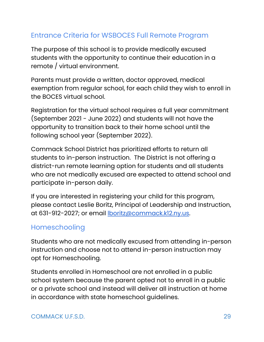### <span id="page-28-0"></span>Entrance Criteria for WSBOCES Full Remote Program

The purpose of this school is to provide medically excused students with the opportunity to continue their education in a remote / virtual environment.

Parents must provide a written, doctor approved, medical exemption from regular school, for each child they wish to enroll in the BOCES virtual school.

Registration for the virtual school requires a full year commitment (September 2021 - June 2022) and students will not have the opportunity to transition back to their home school until the following school year (September 2022).

Commack School District has prioritized efforts to return all students to in-person instruction. The District is not offering a district-run remote learning option for students and all students who are not medically excused are expected to attend school and participate in-person daily.

If you are interested in registering your child for this program, please contact Leslie Boritz, Principal of Leadership and Instruction, at 631-912-2027; or email [lboritz@commack.k12.ny.us.](mailto:lboritz@commack.k12.ny.us)

### <span id="page-28-1"></span>Homeschooling

Students who are not medically excused from attending in-person instruction and choose not to attend in-person instruction may opt for Homeschooling.

Students enrolled in Homeschool are not enrolled in a public school system because the parent opted not to enroll in a public or a private school and instead will deliver all instruction at home in accordance with state homeschool guidelines.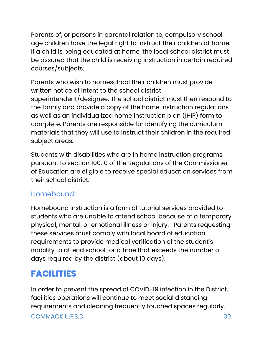Parents of, or persons in parental relation to, compulsory school age children have the legal right to instruct their children at home. If a child is being educated at home, the local school district must be assured that the child is receiving instruction in certain required courses/subjects.

Parents who wish to homeschool their children must provide written notice of intent to the school district superintendent/designee. The school district must then respond to the family and provide a copy of the home instruction regulations as well as an individualized home instruction plan (IHIP) form to complete. Parents are responsible for identifying the curriculum materials that they will use to instruct their children in the required subject areas.

Students with disabilities who are in home instruction programs pursuant to section 100.10 of the Regulations of the Commissioner of Education are eligible to receive special education services from their school district.

### <span id="page-29-0"></span>Homebound:

Homebound instruction is a form of tutorial services provided to students who are unable to attend school because of a temporary physical, mental, or emotional illness or injury. Parents requesting these services must comply with local board of education requirements to provide medical verification of the student's inability to attend school for a time that exceeds the number of days required by the district (about 10 days).

# <span id="page-29-1"></span>**FACILITIES**

In order to prevent the spread of COVID-19 infection in the District, facilities operations will continue to meet social distancing requirements and cleaning frequently touched spaces regularly.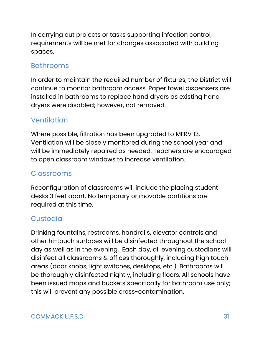In carrying out projects or tasks supporting infection control, requirements will be met for changes associated with building spaces.

### <span id="page-30-0"></span>Bathrooms

In order to maintain the required number of fixtures, the District will continue to monitor bathroom access. Paper towel dispensers are installed in bathrooms to replace hand dryers as existing hand dryers were disabled; however, not removed.

### <span id="page-30-1"></span>**Ventilation**

Where possible, filtration has been upgraded to MERV 13. Ventilation will be closely monitored during the school year and will be immediately repaired as needed. Teachers are encouraged to open classroom windows to increase ventilation.

### <span id="page-30-2"></span>**Classrooms**

Reconfiguration of classrooms will include the placing student desks 3 feet apart. No temporary or movable partitions are required at this time.

### <span id="page-30-3"></span>**Custodial**

Drinking fountains, restrooms, handrails, elevator controls and other hi-touch surfaces will be disinfected throughout the school day as well as in the evening. Each day, all evening custodians will disinfect all classrooms & offices thoroughly, including high touch areas (door knobs, light switches, desktops, etc.). Bathrooms will be thoroughly disinfected nightly, including floors. All schools have been issued mops and buckets specifically for bathroom use only; this will prevent any possible cross-contamination.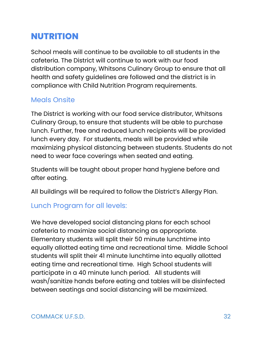# <span id="page-31-0"></span>**NUTRITION**

School meals will continue to be available to all students in the cafeteria. The District will continue to work with our food distribution company, Whitsons Culinary Group to ensure that all health and safety guidelines are followed and the district is in compliance with Child Nutrition Program requirements.

### <span id="page-31-1"></span>Meals Onsite

The District is working with our food service distributor, Whitsons Culinary Group, to ensure that students will be able to purchase lunch. Further, free and reduced lunch recipients will be provided lunch every day. For students, meals will be provided while maximizing physical distancing between students. Students do not need to wear face coverings when seated and eating.

Students will be taught about proper hand hygiene before and after eating.

All buildings will be required to follow the District's Allergy Plan.

### <span id="page-31-2"></span>Lunch Program for all levels:

We have developed social distancing plans for each school cafeteria to maximize social distancing as appropriate. Elementary students will split their 50 minute lunchtime into equally allotted eating time and recreational time. Middle School students will split their 41 minute lunchtime into equally allotted eating time and recreational time. High School students will participate in a 40 minute lunch period. All students will wash/sanitize hands before eating and tables will be disinfected between seatings and social distancing will be maximized.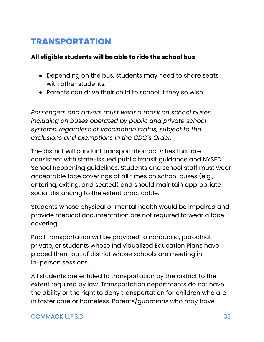# <span id="page-32-0"></span>**TRANSPORTATION**

### **All eligible students will be able to ride the school bus**

- Depending on the bus, students may need to share seats with other students.
- Parents can drive their child to school if they so wish.

*Passengers and drivers must wear a mask on school buses, including on buses operated by public and private school systems, regardless of vaccination status, subject to the exclusions and exemptions in the CDC's Order.*

The district will conduct transportation activities that are consistent with state-issued public transit guidance and NYSED School Reopening guidelines. Students and school staff must wear acceptable face coverings at all times on school buses (e.g., entering, exiting, and seated) and should maintain appropriate social distancing to the extent practicable.

Students whose physical or mental health would be impaired and provide medical documentation are not required to wear a face covering.

Pupil transportation will be provided to nonpublic, parochial, private, or students whose Individualized Education Plans have placed them out of district whose schools are meeting in in-person sessions.

All students are entitled to transportation by the district to the extent required by law. Transportation departments do not have the ability or the right to deny transportation for children who are in foster care or homeless. Parents/guardians who may have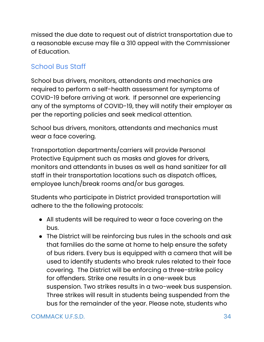missed the due date to request out of district transportation due to a reasonable excuse may file a 310 appeal with the Commissioner of Education.

### <span id="page-33-0"></span>School Bus Staff

School bus drivers, monitors, attendants and mechanics are required to perform a self-health assessment for symptoms of COVID-19 before arriving at work. If personnel are experiencing any of the symptoms of COVID-19, they will notify their employer as per the reporting policies and seek medical attention.

School bus drivers, monitors, attendants and mechanics must wear a face covering.

Transportation departments/carriers will provide Personal Protective Equipment such as masks and gloves for drivers, monitors and attendants in buses as well as hand sanitizer for all staff in their transportation locations such as dispatch offices, employee lunch/break rooms and/or bus garages.

Students who participate in District provided transportation will adhere to the the following protocols:

- All students will be required to wear a face covering on the bus.
- The District will be reinforcing bus rules in the schools and ask that families do the same at home to help ensure the safety of bus riders. Every bus is equipped with a camera that will be used to identify students who break rules related to their face covering. The District will be enforcing a three-strike policy for offenders. Strike one results in a one-week bus suspension. Two strikes results in a two-week bus suspension. Three strikes will result in students being suspended from the bus for the remainder of the year. Please note, students who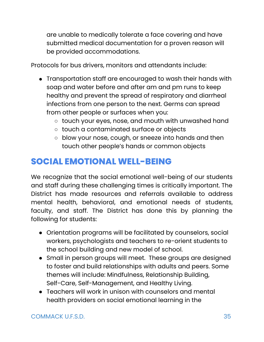are unable to medically tolerate a face covering and have submitted medical documentation for a proven reason will be provided accommodations.

Protocols for bus drivers, monitors and attendants include:

- Transportation staff are encouraged to wash their hands with soap and water before and after am and pm runs to keep healthy and prevent the spread of respiratory and diarrheal infections from one person to the next. Germs can spread from other people or surfaces when you:
	- touch your eyes, nose, and mouth with unwashed hand
	- touch a contaminated surface or objects
	- blow your nose, cough, or sneeze into hands and then touch other people's hands or common objects

# <span id="page-34-0"></span>**SOCIAL EMOTIONAL WELL-BEING**

We recognize that the social emotional well-being of our students and staff during these challenging times is critically important. The District has made resources and referrals available to address mental health, behavioral, and emotional needs of students, faculty, and staff. The District has done this by planning the following for students:

- Orientation programs will be facilitated by counselors, social workers, psychologists and teachers to re-orient students to the school building and new model of school.
- Small in person groups will meet. These groups are designed to foster and build relationships with adults and peers. Some themes will include: Mindfulness, Relationship Building, Self-Care, Self-Management, and Healthy Living.
- Teachers will work in unison with counselors and mental health providers on social emotional learning in the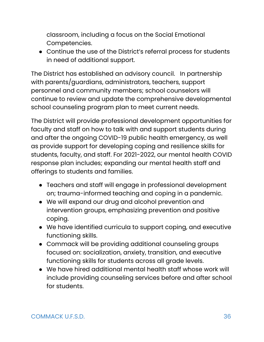classroom, including a focus on the Social Emotional Competencies.

● Continue the use of the District's referral process for students in need of additional support.

The District has established an advisory council. In partnership with parents/guardians, administrators, teachers, support personnel and community members; school counselors will continue to review and update the comprehensive developmental school counseling program plan to meet current needs.

The District will provide professional development opportunities for faculty and staff on how to talk with and support students during and after the ongoing COVID-19 public health emergency, as well as provide support for developing coping and resilience skills for students, faculty, and staff. For 2021-2022, our mental health COVID response plan includes; expanding our mental health staff and offerings to students and families.

- Teachers and staff will engage in professional development on; trauma-informed teaching and coping in a pandemic.
- We will expand our drug and alcohol prevention and intervention groups, emphasizing prevention and positive coping.
- We have identified curricula to support coping, and executive functioning skills.
- Commack will be providing additional counseling groups focused on: socialization, anxiety, transition, and executive functioning skills for students across all grade levels.
- We have hired additional mental health staff whose work will include providing counseling services before and after school for students.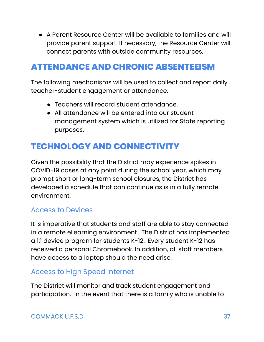● A Parent Resource Center will be available to families and will provide parent support. If necessary, the Resource Center will connect parents with outside community resources.

# <span id="page-36-0"></span>**ATTENDANCE AND CHRONIC ABSENTEEISM**

The following mechanisms will be used to collect and report daily teacher-student engagement or attendance.

- Teachers will record student attendance.
- All attendance will be entered into our student management system which is utilized for State reporting purposes.

# <span id="page-36-1"></span>**TECHNOLOGY AND CONNECTIVITY**

Given the possibility that the District may experience spikes in COVID-19 cases at any point during the school year, which may prompt short or long-term school closures, the District has developed a schedule that can continue as is in a fully remote environment.

### <span id="page-36-2"></span>Access to Devices

It is imperative that students and staff are able to stay connected in a remote eLearning environment. The District has implemented a 1:1 device program for students K-12. Every student K-12 has received a personal Chromebook. In addition, all staff members have access to a laptop should the need arise.

### <span id="page-36-3"></span>Access to High Speed Internet

The District will monitor and track student engagement and participation. In the event that there is a family who is unable to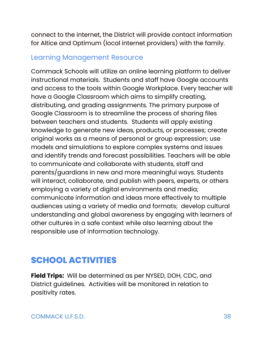connect to the internet, the District will provide contact information for Altice and Optimum (local internet providers) with the family.

### <span id="page-37-0"></span>Learning Management Resource

Commack Schools will utilize an online learning platform to deliver instructional materials. Students and staff have Google accounts and access to the tools within Google Workplace. Every teacher will have a Google Classroom which aims to simplify creating, distributing, and grading assignments. The primary purpose of Google Classroom is to streamline the process of sharing files between teachers and students. Students will apply existing knowledge to generate new ideas, products, or processes; create original works as a means of personal or group expression; use models and simulations to explore complex systems and issues and identify trends and forecast possibilities. Teachers will be able to communicate and collaborate with students, staff and parents/guardians in new and more meaningful ways. Students will interact, collaborate, and publish with peers, experts, or others employing a variety of digital environments and media; communicate information and ideas more effectively to multiple audiences using a variety of media and formats; develop cultural understanding and global awareness by engaging with learners of other cultures in a safe context while also learning about the responsible use of information technology.

# <span id="page-37-1"></span>**SCHOOL ACTIVITIES**

**Field Trips:** Will be determined as per NYSED, DOH, CDC, and District guidelines. Activities will be monitored in relation to positivity rates.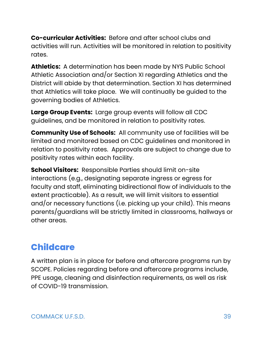**Co-curricular Activities:** Before and after school clubs and activities will run. Activities will be monitored in relation to positivity rates.

**Athletics:** A determination has been made by NYS Public School Athletic Association and/or Section XI regarding Athletics and the District will abide by that determination. Section XI has determined that Athletics will take place. We will continually be guided to the governing bodies of Athletics.

**Large Group Events:** Large group events will follow all CDC guidelines, and be monitored in relation to positivity rates.

**Community Use of Schools:** All community use of facilities will be limited and monitored based on CDC guidelines and monitored in relation to positivity rates. Approvals are subject to change due to positivity rates within each facility.

**School Visitors:** Responsible Parties should limit on-site interactions (e.g., designating separate ingress or egress for faculty and staff, eliminating bidirectional flow of individuals to the extent practicable). As a result, we will limit visitors to essential and/or necessary functions (i.e. picking up your child). This means parents/guardians will be strictly limited in classrooms, hallways or other areas.

# <span id="page-38-0"></span>**Childcare**

A written plan is in place for before and aftercare programs run by SCOPE. Policies regarding before and aftercare programs include, PPE usage, cleaning and disinfection requirements, as well as risk of COVID-19 transmission.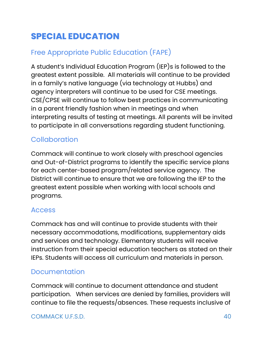# <span id="page-39-0"></span>**SPECIAL EDUCATION**

# <span id="page-39-1"></span>Free Appropriate Public Education (FAPE)

A student's Individual Education Program (IEP)s is followed to the greatest extent possible. All materials will continue to be provided in a family's native language (via technology at Hubbs) and agency interpreters will continue to be used for CSE meetings. CSE/CPSE will continue to follow best practices in communicating in a parent friendly fashion when in meetings and when interpreting results of testing at meetings. All parents will be invited to participate in all conversations regarding student functioning.

### Collaboration

Commack will continue to work closely with preschool agencies and Out-of-District programs to identify the specific service plans for each center-based program/related service agency. The District will continue to ensure that we are following the IEP to the greatest extent possible when working with local schools and programs.

### Access

Commack has and will continue to provide students with their necessary accommodations, modifications, supplementary aids and services and technology. Elementary students will receive instruction from their special education teachers as stated on their IEPs. Students will access all curriculum and materials in person.

### <span id="page-39-2"></span>Documentation

Commack will continue to document attendance and student participation. When services are denied by families, providers will continue to file the requests/absences. These requests inclusive of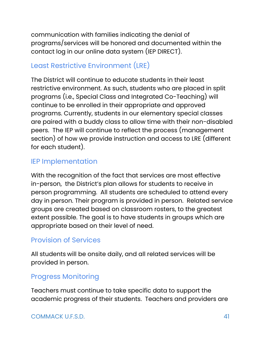communication with families indicating the denial of programs/services will be honored and documented within the contact log in our online data system (IEP DIRECT).

### Least Restrictive Environment (LRE)

The District will continue to educate students in their least restrictive environment. As such, students who are placed in split programs (i.e., Special Class and Integrated Co-Teaching) will continue to be enrolled in their appropriate and approved programs. Currently, students in our elementary special classes are paired with a buddy class to allow time with their non-disabled peers. The IEP will continue to reflect the process (management section) of how we provide instruction and access to LRE (different for each student).

### IEP Implementation

With the recognition of the fact that services are most effective in-person, the District's plan allows for students to receive in person programming. All students are scheduled to attend every day in person. Their program is provided in person. Related service groups are created based on classroom rosters, to the greatest extent possible. The goal is to have students in groups which are appropriate based on their level of need.

### Provision of Services

All students will be onsite daily, and all related services will be provided in person.

### Progress Monitoring

Teachers must continue to take specific data to support the academic progress of their students. Teachers and providers are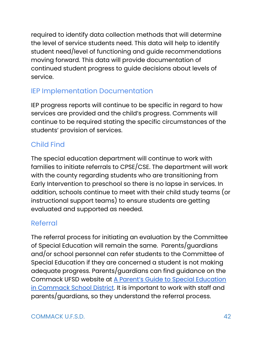required to identify data collection methods that will determine the level of service students need. This data will help to identify student need/level of functioning and guide recommendations moving forward. This data will provide documentation of continued student progress to guide decisions about levels of service.

### <span id="page-41-0"></span>IEP Implementation Documentation

IEP progress reports will continue to be specific in regard to how services are provided and the child's progress. Comments will continue to be required stating the specific circumstances of the students' provision of services.

### Child Find

The special education department will continue to work with families to initiate referrals to CPSE/CSE. The department will work with the county regarding students who are transitioning from Early Intervention to preschool so there is no lapse in services. In addition, schools continue to meet with their child study teams (or instructional support teams) to ensure students are getting evaluated and supported as needed.

### <span id="page-41-1"></span>Referral

The referral process for initiating an evaluation by the Committee of Special Education will remain the same. Parents/guardians and/or school personnel can refer students to the Committee of Special Education if they are concerned a student is not making adequate progress. Parents/guardians can find guidance on the Commack UFSD website at A Parent's Guide to Special [Education](https://www.commackschools.org/Downloads/ParentSPEDGuide2.pdf) in [Commack](https://www.commackschools.org/Downloads/ParentSPEDGuide2.pdf) School District. It is important to work with staff and parents/guardians, so they understand the referral process.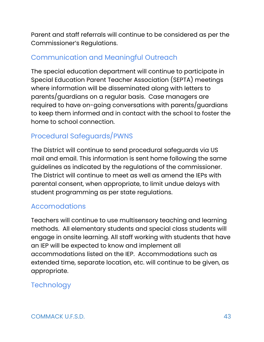Parent and staff referrals will continue to be considered as per the Commissioner's Regulations.

### <span id="page-42-1"></span>Communication and Meaningful Outreach

The special education department will continue to participate in Special Education Parent Teacher Association (SEPTA) meetings where information will be disseminated along with letters to parents/guardians on a regular basis. Case managers are required to have on-going conversations with parents/guardians to keep them informed and in contact with the school to foster the home to school connection.

### Procedural Safeguards/PWNS

The District will continue to send procedural safeguards via US mail and email. This information is sent home following the same guidelines as indicated by the regulations of the commissioner. The District will continue to meet as well as amend the IEPs with parental consent, when appropriate, to limit undue delays with student programming as per state regulations.

### <span id="page-42-2"></span>Accomodations

Teachers will continue to use multisensory teaching and learning methods. All elementary students and special class students will engage in onsite learning. All staff working with students that have an IEP will be expected to know and implement all accommodations listed on the IEP. Accommodations such as extended time, separate location, etc. will continue to be given, as appropriate.

### <span id="page-42-0"></span>**Technology**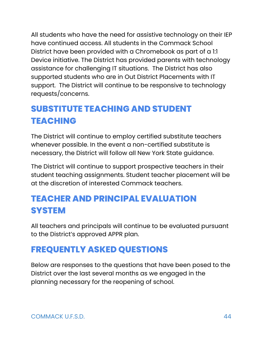All students who have the need for assistive technology on their IEP have continued access. All students in the Commack School District have been provided with a Chromebook as part of a 1:1 Device initiative. The District has provided parents with technology assistance for challenging IT situations. The District has also supported students who are in Out District Placements with IT support. The District will continue to be responsive to technology requests/concerns.

# <span id="page-43-0"></span>**SUBSTITUTE TEACHING AND STUDENT TEACHING**

The District will continue to employ certified substitute teachers whenever possible. In the event a non-certified substitute is necessary, the District will follow all New York State guidance.

The District will continue to support prospective teachers in their student teaching assignments. Student teacher placement will be at the discretion of interested Commack teachers.

# <span id="page-43-1"></span>**TEACHER AND PRINCIPAL EVALUATION SYSTEM**

All teachers and principals will continue to be evaluated pursuant to the District's approved APPR plan.

# <span id="page-43-2"></span>**FREQUENTLY ASKED QUESTIONS**

Below are responses to the questions that have been posed to the District over the last several months as we engaged in the planning necessary for the reopening of school.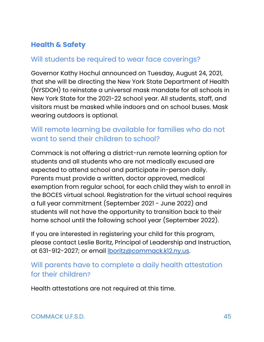### <span id="page-44-0"></span>**Health & Safety**

### <span id="page-44-1"></span>Will students be required to wear face coverings?

Governor Kathy Hochul announced on Tuesday, August 24, 2021, that she will be directing the New York State Department of Health (NYSDOH) to reinstate a universal mask mandate for all schools in New York State for the 2021-22 school year. All students, staff, and visitors must be masked while indoors and on school buses. Mask wearing outdoors is optional.

### Will remote learning be available for families who do not want to send their children to school?

Commack is not offering a district-run remote learning option for students and all students who are not medically excused are expected to attend school and participate in-person daily. Parents must provide a written, doctor approved, medical exemption from regular school, for each child they wish to enroll in the BOCES virtual school. Registration for the virtual school requires a full year commitment (September 2021 - June 2022) and students will not have the opportunity to transition back to their home school until the following school year (September 2022).

If you are interested in registering your child for this program, please contact Leslie Boritz, Principal of Leadership and Instruction, at 631-912-2027; or email [lboritz@commack.k12.ny.us.](mailto:lboritz@commack.k12.ny.us)

### Will parents have to complete a daily health attestation for their children?

Health attestations are not required at this time.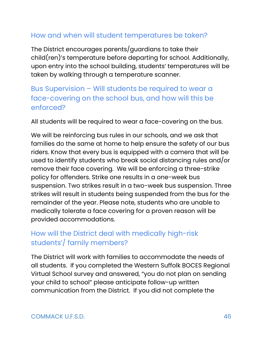### <span id="page-45-0"></span>How and when will student temperatures be taken?

The District encourages parents/guardians to take their child(ren)'s temperature before departing for school. Additionally, upon entry into the school building, students' temperatures will be taken by walking through a temperature scanner.

### Bus Supervision – Will students be required to wear a face-covering on the school bus, and how will this be enforced?

<span id="page-45-1"></span>All students will be required to wear a face-covering on the bus.

We will be reinforcing bus rules in our schools, and we ask that families do the same at home to help ensure the safety of our bus riders. Know that every bus is equipped with a camera that will be used to identify students who break social distancing rules and/or remove their face covering. We will be enforcing a three-strike policy for offenders. Strike one results in a one-week bus suspension. Two strikes result in a two-week bus suspension. Three strikes will result in students being suspended from the bus for the remainder of the year. Please note, students who are unable to medically tolerate a face covering for a proven reason will be provided accommodations.

### <span id="page-45-2"></span>How will the District deal with medically high-risk students'/ family members?

The District will work with families to accommodate the needs of all students. If you completed the Western Suffolk BOCES Regional Virtual School survey and answered, "you do not plan on sending your child to school" please anticipate follow-up written communication from the District. If you did not complete the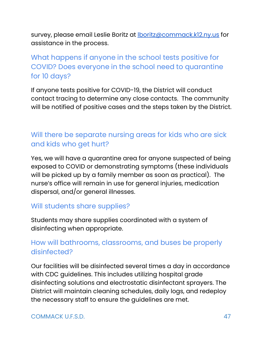survey, please email Leslie Boritz at **Iboritz@commack.k12.ny.us** for assistance in the process.

### What happens if anyone in the school tests positive for COVID? Does everyone in the school need to quarantine for 10 days?

<span id="page-46-0"></span>If anyone tests positive for COVID-19, the District will conduct contact tracing to determine any close contacts. The community will be notified of positive cases and the steps taken by the District.

### <span id="page-46-1"></span>Will there be separate nursing areas for kids who are sick and kids who get hurt?

Yes, we will have a quarantine area for anyone suspected of being exposed to COVID or demonstrating symptoms (these individuals will be picked up by a family member as soon as practical). The nurse's office will remain in use for general injuries, medication dispersal, and/or general illnesses.

### <span id="page-46-2"></span>Will students share supplies?

Students may share supplies coordinated with a system of disinfecting when appropriate.

### <span id="page-46-3"></span>How will bathrooms, classrooms, and buses be properly disinfected?

Our facilities will be disinfected several times a day in accordance with CDC guidelines. This includes utilizing hospital grade disinfecting solutions and electrostatic disinfectant sprayers. The District will maintain cleaning schedules, daily logs, and redeploy the necessary staff to ensure the guidelines are met.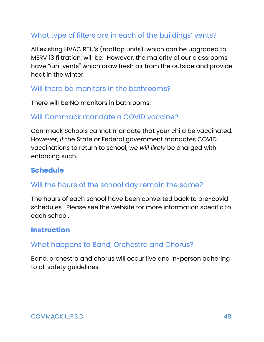### <span id="page-47-0"></span>What type of filters are in each of the buildings' vents?

All existing HVAC RTU's (rooftop units), which can be upgraded to MERV 13 filtration, will be. However, the majority of our classrooms have "uni-vents'' which draw fresh air from the outside and provide heat in the winter.

### <span id="page-47-1"></span>Will there be monitors in the bathrooms?

There will be NO monitors in bathrooms.

### <span id="page-47-2"></span>Will Commack mandate a COVID vaccine?

Commack Schools cannot mandate that your child be vaccinated. However, *if* the State or Federal government mandates COVID vaccinations to return to school, *we will likely* be charged with enforcing such.

### <span id="page-47-3"></span>**Schedule**

### <span id="page-47-4"></span>Will the hours of the school day remain the same?

The hours of each school have been converted back to pre-covid schedules. Please see the website for more information specific to each school.

### <span id="page-47-5"></span>**Instruction**

### <span id="page-47-6"></span>What happens to Band, Orchestra and Chorus?

Band, orchestra and chorus will occur live and in-person adhering to all safety guidelines.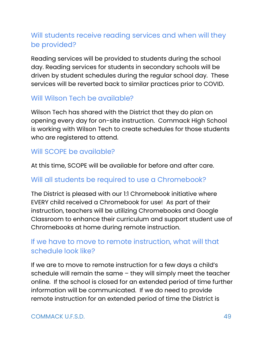### <span id="page-48-0"></span>Will students receive reading services and when will they be provided?

Reading services will be provided to students during the school day. Reading services for students in secondary schools will be driven by student schedules during the regular school day. These services will be reverted back to similar practices prior to COVID.

### <span id="page-48-1"></span>Will Wilson Tech be available?

Wilson Tech has shared with the District that they do plan on opening every day for on-site instruction. Commack High School is working with Wilson Tech to create schedules for those students who are registered to attend.

### <span id="page-48-2"></span>Will SCOPE be available?

At this time, SCOPE will be available for before and after care.

### <span id="page-48-3"></span>Will all students be required to use a Chromebook?

The District is pleased with our 1:1 Chromebook initiative where EVERY child received a Chromebook for use! As part of their instruction, teachers will be utilizing Chromebooks and Google Classroom to enhance their curriculum and support student use of Chromebooks at home during remote instruction.

### <span id="page-48-5"></span><span id="page-48-4"></span>If we have to move to remote instruction, what will that schedule look like?

If we are to move to remote instruction for a few days a child's schedule will remain the same – they will simply meet the teacher online. If the school is closed for an extended period of time further information will be communicated. If we do need to provide remote instruction for an extended period of time the District is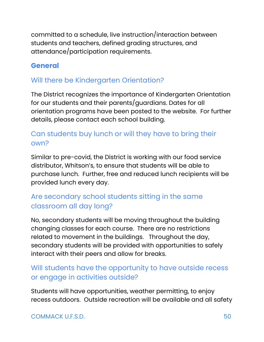committed to a schedule, live instruction/interaction between students and teachers, defined grading structures, and attendance/participation requirements.

### <span id="page-49-0"></span>**General**

### <span id="page-49-1"></span>Will there be Kindergarten Orientation?

The District recognizes the importance of Kindergarten Orientation for our students and their parents/guardians. Dates for all orientation programs have been posted to the website. For further details, please contact each school building.

### <span id="page-49-2"></span>Can students buy lunch or will they have to bring their own?

Similar to pre-covid, the District is working with our food service distributor, Whitson's, to ensure that students will be able to purchase lunch. Further, free and reduced lunch recipients will be provided lunch every day.

### <span id="page-49-3"></span>Are secondary school students sitting in the same classroom all day long?

No, secondary students will be moving throughout the building changing classes for each course. There are no restrictions related to movement in the buildings. Throughout the day, secondary students will be provided with opportunities to safely interact with their peers and allow for breaks.

### <span id="page-49-4"></span>Will students have the opportunity to have outside recess or engage in activities outside?

Students will have opportunities, weather permitting, to enjoy recess outdoors. Outside recreation will be available and all safety